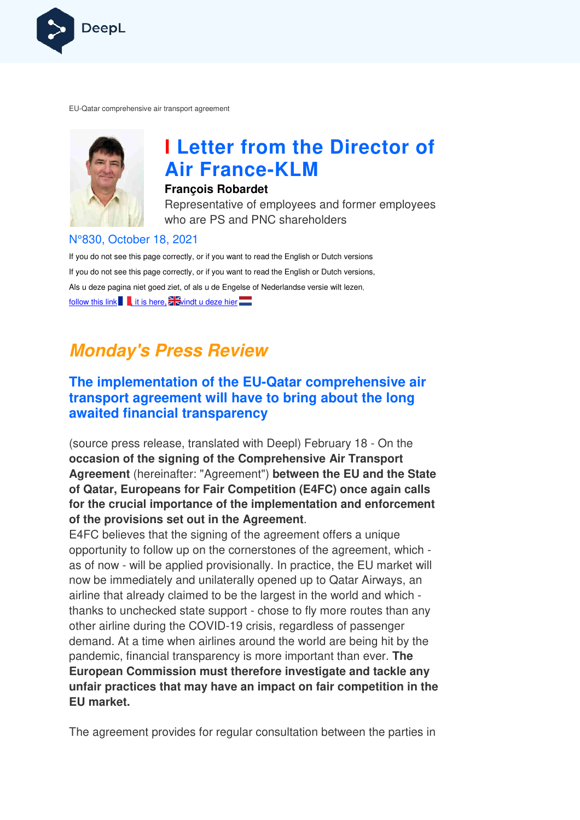

EU-Qatar comprehensive air transport agreement Qatar



# **I Letter from the Director of Air France France-KLM**

#### **François Robardet**

Representative of employees and former employees who are PS and PNC shareholders

#### N°830, October 18, 2021

If you do not see this page correctly, or if you want to read the English or Dutch versions If you do not see this page correctly, or if you want to read the English or Dutch versions, Als u deze pagina niet goed ziet, of als u de Engelse of Nederlandse versie wilt lezen, follow this link  $\Box$ , it is here,  $\Box$  windt u deze hier

## **Monday's Press Review**

#### **The implementation of the EU-Qatar comprehensive air transport agreement will have to bring about the long awaited financial transparency**

(source press release, translated with Deepl) February 18 - On the **occasion of the signing of the Comprehensive Air Transport Agreement** (hereinafter: "Agreement") **between the EU and the State of Qatar, Europeans for Fair Competition (E4FC) once again calls for the crucial importance of the implementation and enforcement of the provisions set out in the Agreement** .

E4FC believes that the signing of the agreement offers a unique opportunity to follow up on the cornerstones of the agreement, which as of now - will be applied provisionally. In practice, the EU market will now be immediately and unilaterally opened up to Qatar Airways, an airline that already claimed to be the largest in the world and which thanks to unchecked state support - chose to fly more routes than any other airline during the COVID-19 crisis, regardless of passenger demand. At a time when airlines around the world are being hit by the pandemic, financial transparency is more important than ever. **The European Commission must therefore investigate and tackle any unfair practices that may have an impact on fair competition in the EU market.**

The agreement provides for regular consultation between the parties in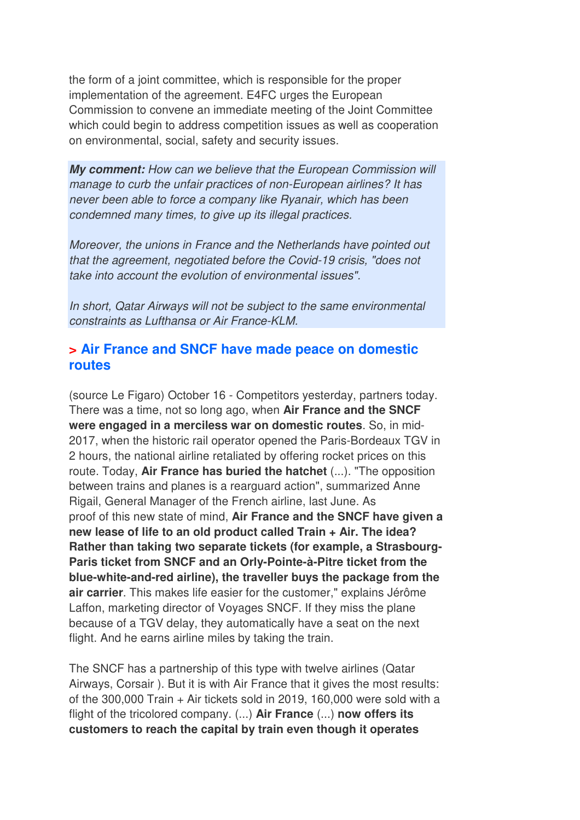the form of a joint committee, which is responsible for the proper implementation of the agreement. E4FC urges the European Commission to convene an immediate meeting of the Joint Committee which could begin to address competition issues as well as cooperation on environmental, social, safety and security issues.

**My comment:** How can we believe that the European Commission will manage to curb the unfair practices of non-European airlines? It has never been able to force a company like Ryanair, which has been condemned many times, to give up its illegal practices.

Moreover, the unions in France and the Netherlands have pointed out that the agreement, negotiated before the Covid-19 crisis, "does not take into account the evolution of environmental issues".

In short, Qatar Airways will not be subject to the same environmental constraints as Lufthansa or Air France-KLM.

#### **> Air France and SNCF have made peace on domestic routes**

(source Le Figaro) October 16 - Competitors yesterday, partners today. There was a time, not so long ago, when **Air France and the SNCF were engaged in a merciless war on domestic routes**. So, in mid-2017, when the historic rail operator opened the Paris-Bordeaux TGV in 2 hours, the national airline retaliated by offering rocket prices on this route. Today, **Air France has buried the hatchet** (...). "The opposition between trains and planes is a rearguard action", summarized Anne Rigail, General Manager of the French airline, last June. As proof of this new state of mind, **Air France and the SNCF have given a new lease of life to an old product called Train + Air. The idea? Rather than taking two separate tickets (for example, a Strasbourg-Paris ticket from SNCF and an Orly-Pointe-à-Pitre ticket from the blue-white-and-red airline), the traveller buys the package from the air carrier**. This makes life easier for the customer," explains Jérôme Laffon, marketing director of Voyages SNCF. If they miss the plane because of a TGV delay, they automatically have a seat on the next flight. And he earns airline miles by taking the train.

The SNCF has a partnership of this type with twelve airlines (Qatar Airways, Corsair ). But it is with Air France that it gives the most results: of the 300,000 Train + Air tickets sold in 2019, 160,000 were sold with a flight of the tricolored company. (...) **Air France** (...) **now offers its customers to reach the capital by train even though it operates**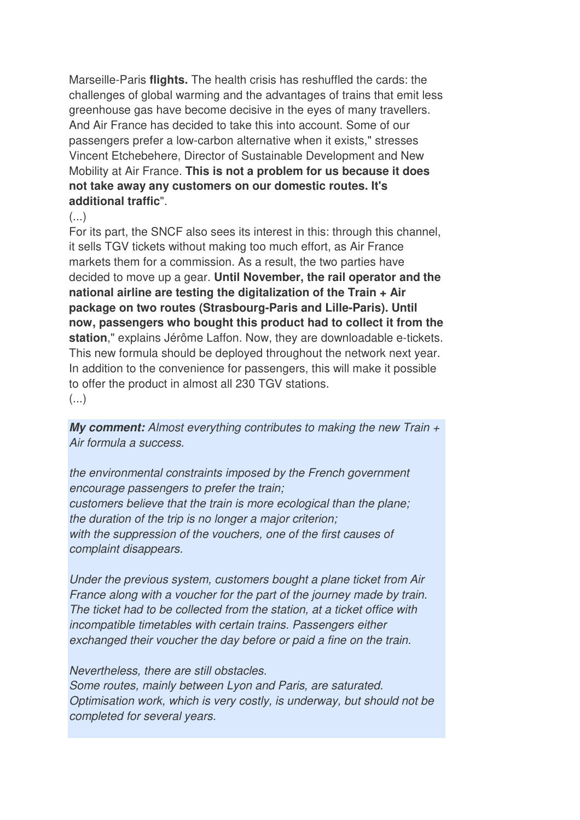Marseille-Paris **flights.** The health crisis has reshuffled the cards: the challenges of global warming and the advantages of trains that emit less greenhouse gas have become decisive in the eyes of many travellers. And Air France has decided to take this into account. Some of our passengers prefer a low-carbon alternative when it exists," stresses Vincent Etchebehere, Director of Sustainable Development and New Mobility at Air France. **This is not a problem for us because it does not take away any customers on our domestic routes. It's additional traffic**".

 $(\ldots)$ 

For its part, the SNCF also sees its interest in this: through this channel, it sells TGV tickets without making too much effort, as Air France markets them for a commission. As a result, the two parties have decided to move up a gear. **Until November, the rail operator and the national airline are testing the digitalization of the Train + Air package on two routes (Strasbourg-Paris and Lille-Paris). Until now, passengers who bought this product had to collect it from the station**," explains Jérôme Laffon. Now, they are downloadable e-tickets. This new formula should be deployed throughout the network next year. In addition to the convenience for passengers, this will make it possible to offer the product in almost all 230 TGV stations. (...)

**My comment:** Almost everything contributes to making the new Train + Air formula a success.

the environmental constraints imposed by the French government encourage passengers to prefer the train; customers believe that the train is more ecological than the plane; the duration of the trip is no longer a major criterion; with the suppression of the vouchers, one of the first causes of complaint disappears.

Under the previous system, customers bought a plane ticket from Air France along with a voucher for the part of the journey made by train. The ticket had to be collected from the station, at a ticket office with incompatible timetables with certain trains. Passengers either exchanged their voucher the day before or paid a fine on the train.

Nevertheless, there are still obstacles.

Some routes, mainly between Lyon and Paris, are saturated. Optimisation work, which is very costly, is underway, but should not be completed for several years.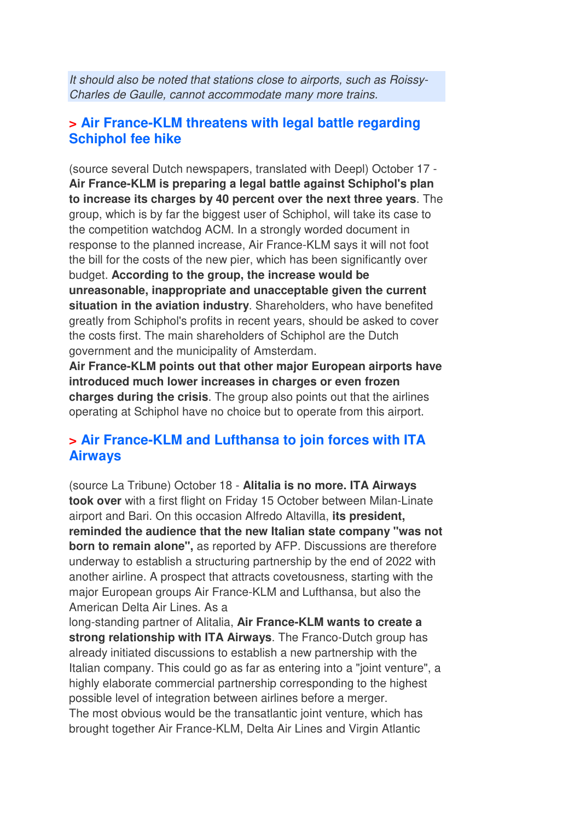It should also be noted that stations close to airports, such as Roissy-Charles de Gaulle, cannot accommodate many more trains.

#### **> Air France-KLM threatens with legal battle regarding Schiphol fee hike**

(source several Dutch newspapers, translated with Deepl) October 17 - **Air France-KLM is preparing a legal battle against Schiphol's plan to increase its charges by 40 percent over the next three years**. The group, which is by far the biggest user of Schiphol, will take its case to the competition watchdog ACM. In a strongly worded document in response to the planned increase, Air France-KLM says it will not foot the bill for the costs of the new pier, which has been significantly over budget. **According to the group, the increase would be unreasonable, inappropriate and unacceptable given the current situation in the aviation industry**. Shareholders, who have benefited greatly from Schiphol's profits in recent years, should be asked to cover the costs first. The main shareholders of Schiphol are the Dutch government and the municipality of Amsterdam.

**Air France-KLM points out that other major European airports have introduced much lower increases in charges or even frozen charges during the crisis**. The group also points out that the airlines operating at Schiphol have no choice but to operate from this airport.

#### **> Air France-KLM and Lufthansa to join forces with ITA Airways**

(source La Tribune) October 18 - **Alitalia is no more. ITA Airways took over** with a first flight on Friday 15 October between Milan-Linate airport and Bari. On this occasion Alfredo Altavilla, **its president, reminded the audience that the new Italian state company "was not born to remain alone",** as reported by AFP. Discussions are therefore underway to establish a structuring partnership by the end of 2022 with another airline. A prospect that attracts covetousness, starting with the major European groups Air France-KLM and Lufthansa, but also the American Delta Air Lines. As a

long-standing partner of Alitalia, **Air France-KLM wants to create a strong relationship with ITA Airways**. The Franco-Dutch group has already initiated discussions to establish a new partnership with the Italian company. This could go as far as entering into a "joint venture", a highly elaborate commercial partnership corresponding to the highest possible level of integration between airlines before a merger. The most obvious would be the transatlantic joint venture, which has brought together Air France-KLM, Delta Air Lines and Virgin Atlantic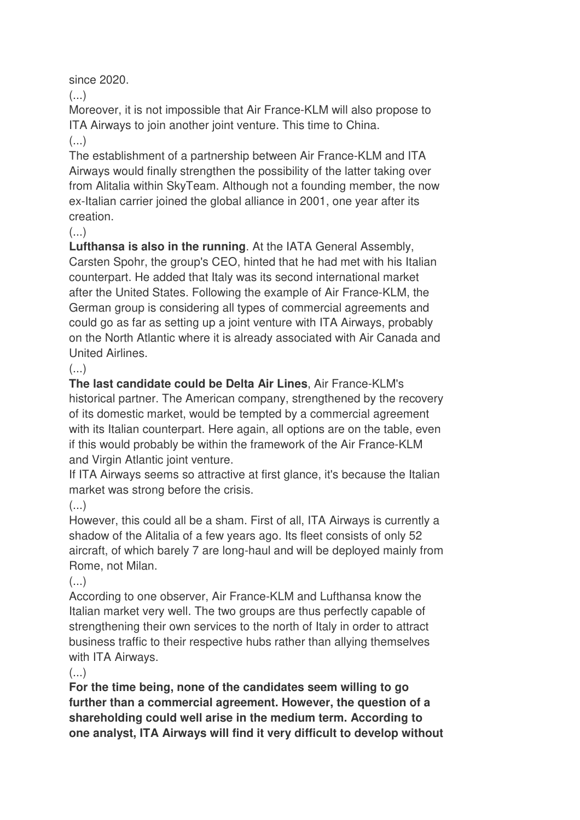since 2020.

 $\left( \ldots \right)$ 

Moreover, it is not impossible that Air France-KLM will also propose to ITA Airways to join another joint venture. This time to China.

#### (...)

The establishment of a partnership between Air France-KLM and ITA Airways would finally strengthen the possibility of the latter taking over from Alitalia within SkyTeam. Although not a founding member, the now ex-Italian carrier joined the global alliance in 2001, one year after its creation.

#### $\left( \ldots \right)$

**Lufthansa is also in the running**. At the IATA General Assembly, Carsten Spohr, the group's CEO, hinted that he had met with his Italian counterpart. He added that Italy was its second international market after the United States. Following the example of Air France-KLM, the German group is considering all types of commercial agreements and could go as far as setting up a joint venture with ITA Airways, probably on the North Atlantic where it is already associated with Air Canada and United Airlines.

## $(\ldots)$

**The last candidate could be Delta Air Lines**, Air France-KLM's historical partner. The American company, strengthened by the recovery of its domestic market, would be tempted by a commercial agreement with its Italian counterpart. Here again, all options are on the table, even if this would probably be within the framework of the Air France-KLM and Virgin Atlantic joint venture.

If ITA Airways seems so attractive at first glance, it's because the Italian market was strong before the crisis.

## $\left( \ldots \right)$

However, this could all be a sham. First of all, ITA Airways is currently a shadow of the Alitalia of a few years ago. Its fleet consists of only 52 aircraft, of which barely 7 are long-haul and will be deployed mainly from Rome, not Milan.

## $\left( \ldots \right)$

According to one observer, Air France-KLM and Lufthansa know the Italian market very well. The two groups are thus perfectly capable of strengthening their own services to the north of Italy in order to attract business traffic to their respective hubs rather than allying themselves with ITA Airways.

#### $\left(\ldots\right)$

**For the time being, none of the candidates seem willing to go further than a commercial agreement. However, the question of a shareholding could well arise in the medium term. According to one analyst, ITA Airways will find it very difficult to develop without**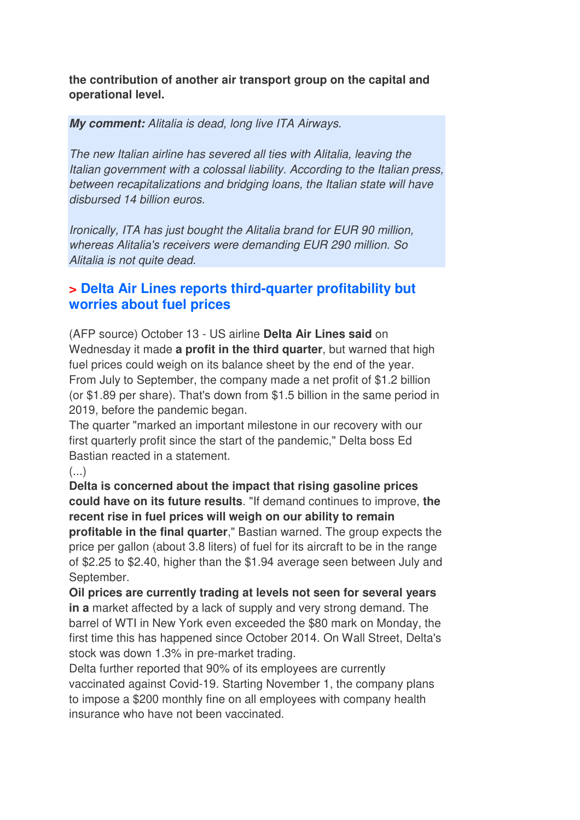**the contribution of another air transport group on the capital and operational level.**

**My comment:** Alitalia is dead, long live ITA Airways.

The new Italian airline has severed all ties with Alitalia, leaving the Italian government with a colossal liability. According to the Italian press, between recapitalizations and bridging loans, the Italian state will have disbursed 14 billion euros.

Ironically, ITA has just bought the Alitalia brand for EUR 90 million, whereas Alitalia's receivers were demanding EUR 290 million. So Alitalia is not quite dead.

#### **> Delta Air Lines reports third-quarter profitability but worries about fuel prices**

(AFP source) October 13 - US airline **Delta Air Lines said** on Wednesday it made **a profit in the third quarter**, but warned that high fuel prices could weigh on its balance sheet by the end of the year. From July to September, the company made a net profit of \$1.2 billion (or \$1.89 per share). That's down from \$1.5 billion in the same period in 2019, before the pandemic began.

The quarter "marked an important milestone in our recovery with our first quarterly profit since the start of the pandemic," Delta boss Ed Bastian reacted in a statement.

(...)

**Delta is concerned about the impact that rising gasoline prices could have on its future results**. "If demand continues to improve, **the recent rise in fuel prices will weigh on our ability to remain profitable in the final quarter**," Bastian warned. The group expects the price per gallon (about 3.8 liters) of fuel for its aircraft to be in the range of \$2.25 to \$2.40, higher than the \$1.94 average seen between July and September.

**Oil prices are currently trading at levels not seen for several years in a** market affected by a lack of supply and very strong demand. The barrel of WTI in New York even exceeded the \$80 mark on Monday, the first time this has happened since October 2014. On Wall Street, Delta's stock was down 1.3% in pre-market trading.

Delta further reported that 90% of its employees are currently vaccinated against Covid-19. Starting November 1, the company plans to impose a \$200 monthly fine on all employees with company health insurance who have not been vaccinated.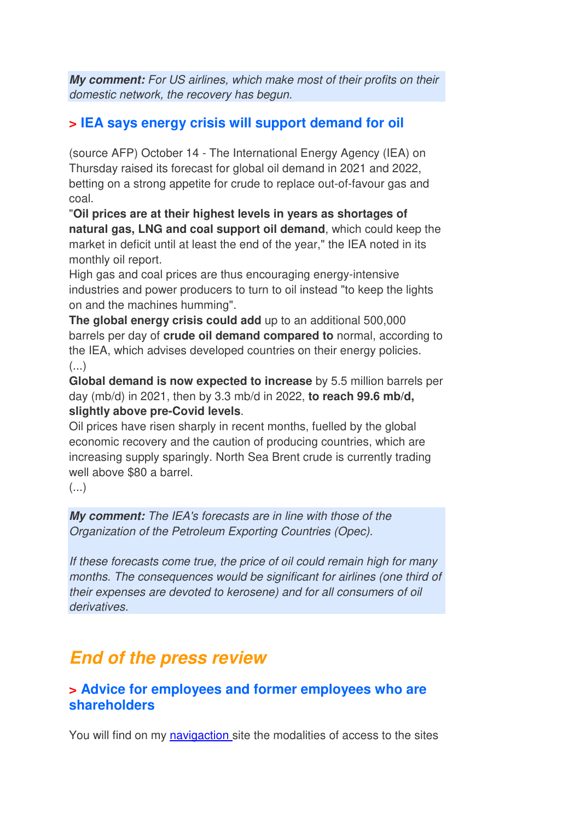**My comment:** For US airlines, which make most of their profits on their domestic network, the recovery has begun.

#### **> IEA says energy crisis will support demand for oil**

(source AFP) October 14 - The International Energy Agency (IEA) on Thursday raised its forecast for global oil demand in 2021 and 2022, betting on a strong appetite for crude to replace out-of-favour gas and coal.

"**Oil prices are at their highest levels in years as shortages of natural gas, LNG and coal support oil demand**, which could keep the market in deficit until at least the end of the year," the IEA noted in its monthly oil report.

High gas and coal prices are thus encouraging energy-intensive industries and power producers to turn to oil instead "to keep the lights on and the machines humming".

**The global energy crisis could add** up to an additional 500,000 barrels per day of **crude oil demand compared to** normal, according to the IEA, which advises developed countries on their energy policies.  $(\ldots)$ 

**Global demand is now expected to increase** by 5.5 million barrels per day (mb/d) in 2021, then by 3.3 mb/d in 2022, **to reach 99.6 mb/d, slightly above pre-Covid levels**.

Oil prices have risen sharply in recent months, fuelled by the global economic recovery and the caution of producing countries, which are increasing supply sparingly. North Sea Brent crude is currently trading well above \$80 a barrel.

 $\left( \ldots \right)$ 

**My comment:** The IEA's forecasts are in line with those of the Organization of the Petroleum Exporting Countries (Opec).

If these forecasts come true, the price of oil could remain high for many months. The consequences would be significant for airlines (one third of their expenses are devoted to kerosene) and for all consumers of oil derivatives.

## **End of the press review**

#### **> Advice for employees and former employees who are shareholders**

You will find on my navigaction site the modalities of access to the sites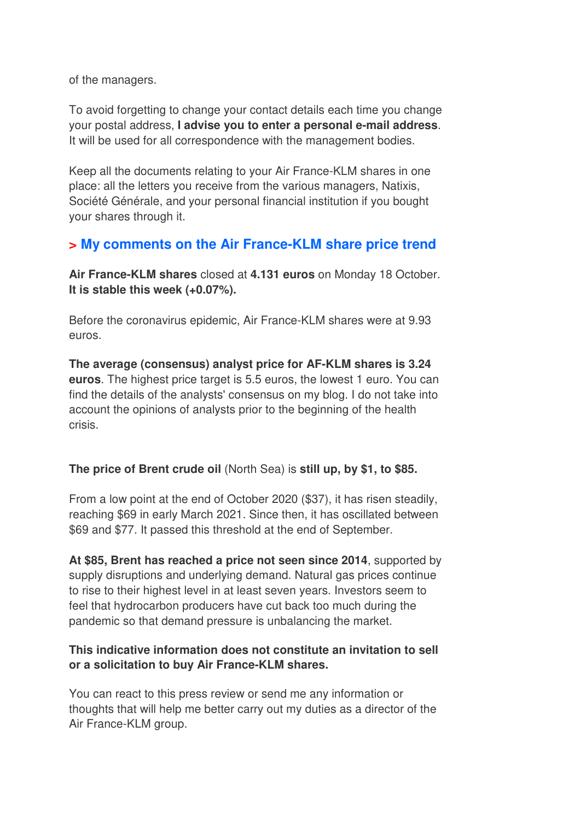of the managers.

To avoid forgetting to change your contact details each time you change your postal address, **I advise you to enter a personal e-mail address**. It will be used for all correspondence with the management bodies.

Keep all the documents relating to your Air France-KLM shares in one place: all the letters you receive from the various managers, Natixis, Société Générale, and your personal financial institution if you bought your shares through it.

#### **> My comments on the Air France-KLM share price trend**

**Air France-KLM shares** closed at **4.131 euros** on Monday 18 October. **It is stable this week (+0.07%).** 

Before the coronavirus epidemic, Air France-KLM shares were at 9.93 euros.

**The average (consensus) analyst price for AF-KLM shares is 3.24 euros**. The highest price target is 5.5 euros, the lowest 1 euro. You can find the details of the analysts' consensus on my blog. I do not take into account the opinions of analysts prior to the beginning of the health crisis.

#### **The price of Brent crude oil** (North Sea) is **still up, by \$1, to \$85.**

From a low point at the end of October 2020 (\$37), it has risen steadily, reaching \$69 in early March 2021. Since then, it has oscillated between \$69 and \$77. It passed this threshold at the end of September.

**At \$85, Brent has reached a price not seen since 2014**, supported by supply disruptions and underlying demand. Natural gas prices continue to rise to their highest level in at least seven years. Investors seem to feel that hydrocarbon producers have cut back too much during the pandemic so that demand pressure is unbalancing the market.

#### **This indicative information does not constitute an invitation to sell or a solicitation to buy Air France-KLM shares.**

You can react to this press review or send me any information or thoughts that will help me better carry out my duties as a director of the Air France-KLM group.